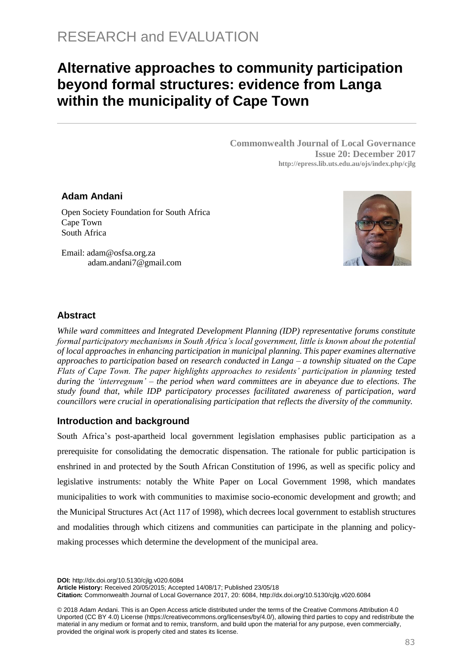# RESEARCH and EVALUATION

## **Alternative approaches to community participation beyond formal structures: evidence from Langa within the municipality of Cape Town**

**Commonwealth Journal of Local Governance Issue 20: December 2017 http://epress.lib.uts.edu.au/ojs/index.php/cjlg**

#### **Adam Andani**

Open Society Foundation for South Africa Cape Town South Africa

Email: adam@osfsa.org.za adam.andani7@gmail.com



#### **Abstract**

*While ward committees and Integrated Development Planning (IDP) representative forums constitute formal participatory mechanisms in South Africa's local government, little is known about the potential of local approaches in enhancing participation in municipal planning. This paper examines alternative approaches to participation based on research conducted in Langa – a township situated on the Cape Flats of Cape Town. The paper highlights approaches to residents' participation in planning tested during the 'interregnum' – the period when ward committees are in abeyance due to elections. The study found that, while IDP participatory processes facilitated awareness of participation, ward councillors were crucial in operationalising participation that reflects the diversity of the community.*

#### **Introduction and background**

South Africa's post-apartheid local government legislation emphasises public participation as a prerequisite for consolidating the democratic dispensation. The rationale for public participation is enshrined in and protected by the South African Constitution of 1996, as well as specific policy and legislative instruments: notably the White Paper on Local Government 1998, which mandates municipalities to work with communities to maximise socio-economic development and growth; and the Municipal Structures Act (Act 117 of 1998), which decrees local government to establish structures and modalities through which citizens and communities can participate in the planning and policymaking processes which determine the development of the municipal area.

**DOI:** <http://dx.doi.org/10.5130/cjlg.v020.6084>

**Article History:** Received 20/05/2015; Accepted 14/08/17; Published 23/05/18

**Citation:** Commonwealth Journal of Local Governance 2017, 20: 6084,<http://dx.doi.org/10.5130/cjlg.v020.6084>

© 2018 Adam Andani. This is an Open Access article distributed under the terms of the Creative Commons Attribution 4.0 Unported (CC BY 4.0) License [\(https://creativecommons.org/licenses/by/4.0/\)](https://creativecommons.org/licenses/by/4.0/), allowing third parties to copy and redistribute the material in any medium or format and to remix, transform, and build upon the material for any purpose, even commercially, provided the original work is properly cited and states its license.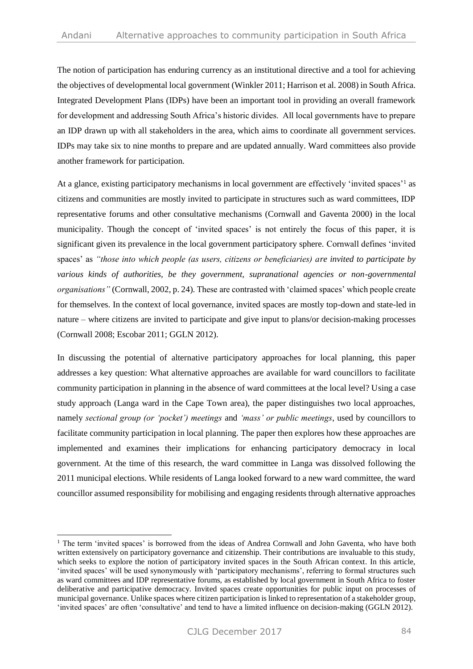The notion of participation has enduring currency as an institutional directive and a tool for achieving the objectives of developmental local government (Winkler 2011; Harrison et al. 2008) in South Africa. Integrated Development Plans (IDPs) have been an important tool in providing an overall framework for development and addressing South Africa's historic divides. All local governments have to prepare an IDP drawn up with all stakeholders in the area, which aims to coordinate all government services. IDPs may take six to nine months to prepare and are updated annually. Ward committees also provide another framework for participation.

At a glance, existing participatory mechanisms in local government are effectively 'invited spaces'<sup>1</sup> as citizens and communities are mostly invited to participate in structures such as ward committees, IDP representative forums and other consultative mechanisms (Cornwall and Gaventa 2000) in the local municipality. Though the concept of 'invited spaces' is not entirely the focus of this paper, it is significant given its prevalence in the local government participatory sphere. Cornwall defines 'invited spaces' as *"those into which people (as users, citizens or beneficiaries) are invited to participate by various kinds of authorities, be they government, supranational agencies or non-governmental organisations"* (Cornwall, 2002, p. 24). These are contrasted with 'claimed spaces' which people create for themselves. In the context of local governance, invited spaces are mostly top-down and state-led in nature – where citizens are invited to participate and give input to plans/or decision-making processes (Cornwall 2008; Escobar 2011; GGLN 2012).

In discussing the potential of alternative participatory approaches for local planning, this paper addresses a key question: What alternative approaches are available for ward councillors to facilitate community participation in planning in the absence of ward committees at the local level? Using a case study approach (Langa ward in the Cape Town area), the paper distinguishes two local approaches, namely *sectional group (or 'pocket') meetings* and *'mass' or public meetings*, used by councillors to facilitate community participation in local planning. The paper then explores how these approaches are implemented and examines their implications for enhancing participatory democracy in local government. At the time of this research, the ward committee in Langa was dissolved following the 2011 municipal elections. While residents of Langa looked forward to a new ward committee, the ward councillor assumed responsibility for mobilising and engaging residents through alternative approaches

-

<sup>&</sup>lt;sup>1</sup> The term 'invited spaces' is borrowed from the ideas of Andrea Cornwall and John Gaventa, who have both written extensively on participatory governance and citizenship. Their contributions are invaluable to this study, which seeks to explore the notion of participatory invited spaces in the South African context. In this article, 'invited spaces' will be used synonymously with 'participatory mechanisms', referring to formal structures such as ward committees and IDP representative forums, as established by local government in South Africa to foster deliberative and participative democracy. Invited spaces create opportunities for public input on processes of municipal governance. Unlike spaces where citizen participation is linked to representation of a stakeholder group, 'invited spaces' are often 'consultative' and tend to have a limited influence on decision-making (GGLN 2012).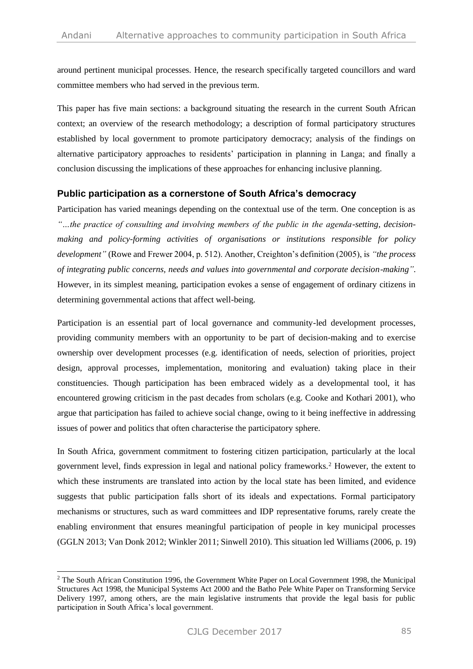around pertinent municipal processes. Hence, the research specifically targeted councillors and ward committee members who had served in the previous term.

This paper has five main sections: a background situating the research in the current South African context; an overview of the research methodology; a description of formal participatory structures established by local government to promote participatory democracy; analysis of the findings on alternative participatory approaches to residents' participation in planning in Langa; and finally a conclusion discussing the implications of these approaches for enhancing inclusive planning.

#### **Public participation as a cornerstone of South Africa's democracy**

Participation has varied meanings depending on the contextual use of the term. One conception is as *"…the practice of consulting and involving members of the public in the agenda-setting, decisionmaking and policy-forming activities of organisations or institutions responsible for policy development"* (Rowe and Frewer 2004, p. 512). Another, Creighton's definition (2005), is *"the process of integrating public concerns, needs and values into governmental and corporate decision-making".* However, in its simplest meaning, participation evokes a sense of engagement of ordinary citizens in determining governmental actions that affect well-being.

Participation is an essential part of local governance and community-led development processes, providing community members with an opportunity to be part of decision-making and to exercise ownership over development processes (e.g. identification of needs, selection of priorities, project design, approval processes, implementation, monitoring and evaluation) taking place in their constituencies. Though participation has been embraced widely as a developmental tool, it has encountered growing criticism in the past decades from scholars (e.g. Cooke and Kothari 2001), who argue that participation has failed to achieve social change, owing to it being ineffective in addressing issues of power and politics that often characterise the participatory sphere.

In South Africa, government commitment to fostering citizen participation, particularly at the local government level, finds expression in legal and national policy frameworks.<sup>2</sup> However, the extent to which these instruments are translated into action by the local state has been limited, and evidence suggests that public participation falls short of its ideals and expectations. Formal participatory mechanisms or structures, such as ward committees and IDP representative forums, rarely create the enabling environment that ensures meaningful participation of people in key municipal processes (GGLN 2013; Van Donk 2012; Winkler 2011; Sinwell 2010). This situation led Williams (2006, p. 19)

 $\overline{a}$ 

<sup>&</sup>lt;sup>2</sup> The South African Constitution 1996, the Government White Paper on Local Government 1998, the Municipal Structures Act 1998, the Municipal Systems Act 2000 and the Batho Pele White Paper on Transforming Service Delivery 1997, among others, are the main legislative instruments that provide the legal basis for public participation in South Africa's local government.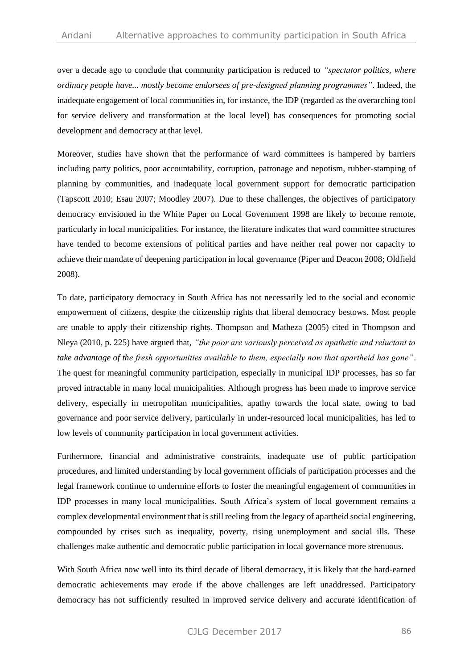over a decade ago to conclude that community participation is reduced to *"spectator politics, where ordinary people have... mostly become endorsees of pre-designed planning programmes"*. Indeed, the inadequate engagement of local communities in, for instance, the IDP (regarded as the overarching tool for service delivery and transformation at the local level) has consequences for promoting social development and democracy at that level.

Moreover, studies have shown that the performance of ward committees is hampered by barriers including party politics, poor accountability, corruption, patronage and nepotism, rubber-stamping of planning by communities, and inadequate local government support for democratic participation (Tapscott 2010; Esau 2007; Moodley 2007). Due to these challenges, the objectives of participatory democracy envisioned in the White Paper on Local Government 1998 are likely to become remote, particularly in local municipalities. For instance, the literature indicates that ward committee structures have tended to become extensions of political parties and have neither real power nor capacity to achieve their mandate of deepening participation in local governance (Piper and Deacon 2008; Oldfield 2008).

To date, participatory democracy in South Africa has not necessarily led to the social and economic empowerment of citizens, despite the citizenship rights that liberal democracy bestows. Most people are unable to apply their citizenship rights. Thompson and Matheza (2005) cited in Thompson and Nleya (2010, p. 225) have argued that, *"the poor are variously perceived as apathetic and reluctant to take advantage of the fresh opportunities available to them, especially now that apartheid has gone"*. The quest for meaningful community participation, especially in municipal IDP processes, has so far proved intractable in many local municipalities. Although progress has been made to improve service delivery, especially in metropolitan municipalities, apathy towards the local state, owing to bad governance and poor service delivery, particularly in under-resourced local municipalities, has led to low levels of community participation in local government activities.

Furthermore, financial and administrative constraints, inadequate use of public participation procedures, and limited understanding by local government officials of participation processes and the legal framework continue to undermine efforts to foster the meaningful engagement of communities in IDP processes in many local municipalities. South Africa's system of local government remains a complex developmental environment that is still reeling from the legacy of apartheid social engineering, compounded by crises such as inequality, poverty, rising unemployment and social ills. These challenges make authentic and democratic public participation in local governance more strenuous.

With South Africa now well into its third decade of liberal democracy, it is likely that the hard-earned democratic achievements may erode if the above challenges are left unaddressed. Participatory democracy has not sufficiently resulted in improved service delivery and accurate identification of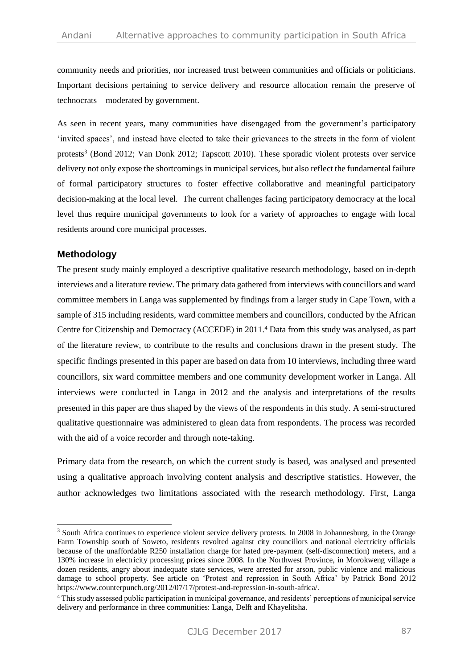community needs and priorities, nor increased trust between communities and officials or politicians. Important decisions pertaining to service delivery and resource allocation remain the preserve of technocrats – moderated by government.

As seen in recent years, many communities have disengaged from the government's participatory 'invited spaces', and instead have elected to take their grievances to the streets in the form of violent protests<sup>3</sup> (Bond 2012; Van Donk 2012; Tapscott 2010). These sporadic violent protests over service delivery not only expose the shortcomings in municipal services, but also reflect the fundamental failure of formal participatory structures to foster effective collaborative and meaningful participatory decision-making at the local level. The current challenges facing participatory democracy at the local level thus require municipal governments to look for a variety of approaches to engage with local residents around core municipal processes.

#### **Methodology**

-

The present study mainly employed a descriptive qualitative research methodology, based on in-depth interviews and a literature review. The primary data gathered from interviews with councillors and ward committee members in Langa was supplemented by findings from a larger study in Cape Town, with a sample of 315 including residents, ward committee members and councillors, conducted by the African Centre for Citizenship and Democracy (ACCEDE) in 2011.<sup>4</sup> Data from this study was analysed, as part of the literature review, to contribute to the results and conclusions drawn in the present study. The specific findings presented in this paper are based on data from 10 interviews, including three ward councillors, six ward committee members and one community development worker in Langa. All interviews were conducted in Langa in 2012 and the analysis and interpretations of the results presented in this paper are thus shaped by the views of the respondents in this study. A semi-structured qualitative questionnaire was administered to glean data from respondents. The process was recorded with the aid of a voice recorder and through note-taking.

Primary data from the research, on which the current study is based, was analysed and presented using a qualitative approach involving content analysis and descriptive statistics. However, the author acknowledges two limitations associated with the research methodology. First, Langa

<sup>&</sup>lt;sup>3</sup> South Africa continues to experience violent service delivery protests. In 2008 in Johannesburg, in the Orange Farm Township south of Soweto, residents revolted against city councillors and national electricity officials because of the unaffordable R250 installation charge for hated pre-payment (self-disconnection) meters, and a 130% increase in electricity processing prices since 2008. In the Northwest Province, in Morokweng village a dozen residents, angry about inadequate state services, were arrested for arson, public violence and malicious damage to school property. See article on 'Protest and repression in South Africa' by Patrick Bond 2012 [https://www.counterpunch.org/2012/07/17/protest-and-repression-in-south-africa/.](https://www.counterpunch.org/2012/07/17/protest-and-repression-in-south-africa/)

<sup>&</sup>lt;sup>4</sup> This study assessed public participation in municipal governance, and residents' perceptions of municipal service delivery and performance in three communities: Langa, Delft and Khayelitsha.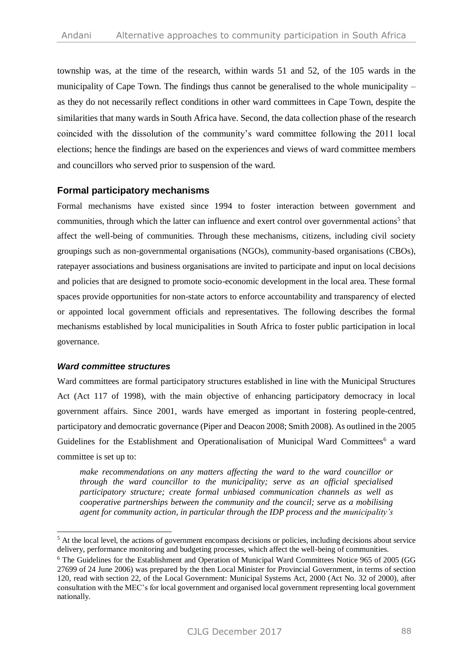township was, at the time of the research, within wards 51 and 52, of the 105 wards in the municipality of Cape Town. The findings thus cannot be generalised to the whole municipality – as they do not necessarily reflect conditions in other ward committees in Cape Town, despite the similarities that many wards in South Africa have. Second, the data collection phase of the research coincided with the dissolution of the community's ward committee following the 2011 local elections; hence the findings are based on the experiences and views of ward committee members and councillors who served prior to suspension of the ward.

#### **Formal participatory mechanisms**

Formal mechanisms have existed since 1994 to foster interaction between government and communities, through which the latter can influence and exert control over governmental actions<sup>5</sup> that affect the well-being of communities. Through these mechanisms, citizens, including civil society groupings such as non-governmental organisations (NGOs), community-based organisations (CBOs), ratepayer associations and business organisations are invited to participate and input on local decisions and policies that are designed to promote socio-economic development in the local area. These formal spaces provide opportunities for non-state actors to enforce accountability and transparency of elected or appointed local government officials and representatives. The following describes the formal mechanisms established by local municipalities in South Africa to foster public participation in local governance.

#### *Ward committee structures*

-

Ward committees are formal participatory structures established in line with the Municipal Structures Act (Act 117 of 1998), with the main objective of enhancing participatory democracy in local government affairs. Since 2001, wards have emerged as important in fostering people-centred, participatory and democratic governance (Piper and Deacon 2008; Smith 2008). As outlined in the 2005 Guidelines for the Establishment and Operationalisation of Municipal Ward Committees<sup>6</sup> a ward committee is set up to:

*make recommendations on any matters affecting the ward to the ward councillor or through the ward councillor to the municipality; serve as an official specialised participatory structure; create formal unbiased communication channels as well as cooperative partnerships between the community and the council; serve as a mobilising agent for community action, in particular through the IDP process and the municipality's* 

<sup>&</sup>lt;sup>5</sup> At the local level, the actions of government encompass decisions or policies, including decisions about service delivery, performance monitoring and budgeting processes, which affect the well-being of communities.

<sup>&</sup>lt;sup>6</sup> The Guidelines for the Establishment and Operation of Municipal Ward Committees Notice 965 of 2005 (GG 27699 of 24 June 2006) was prepared by the then Local Minister for Provincial Government, in terms of section 120, read with section 22, of the Local Government: Municipal Systems Act, 2000 (Act No. 32 of 2000), after consultation with the MEC's for local government and organised local government representing local government nationally.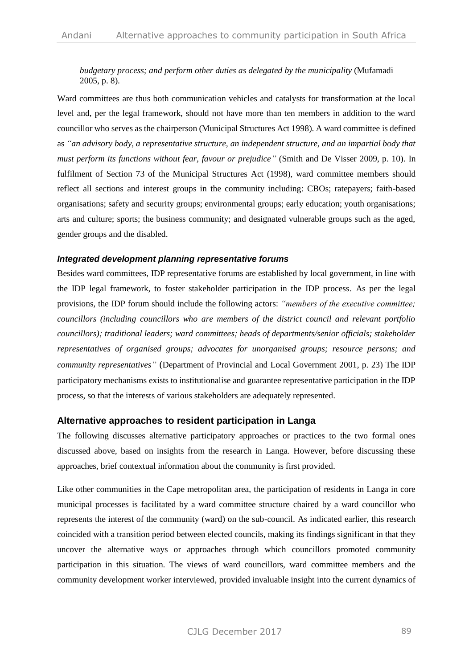#### *budgetary process; and perform other duties as delegated by the municipality* (Mufamadi 2005, p. 8).

Ward committees are thus both communication vehicles and catalysts for transformation at the local level and, per the legal framework, should not have more than ten members in addition to the ward councillor who serves as the chairperson (Municipal Structures Act 1998). A ward committee is defined as *"an advisory body, a representative structure, an independent structure, and an impartial body that must perform its functions without fear, favour or prejudice"* (Smith and De Visser 2009, p. 10). In fulfilment of Section 73 of the Municipal Structures Act (1998), ward committee members should reflect all sections and interest groups in the community including: CBOs; ratepayers; faith-based organisations; safety and security groups; environmental groups; early education; youth organisations; arts and culture; sports; the business community; and designated vulnerable groups such as the aged, gender groups and the disabled.

#### *Integrated development planning representative forums*

Besides ward committees, IDP representative forums are established by local government, in line with the IDP legal framework, to foster stakeholder participation in the IDP process. As per the legal provisions, the IDP forum should include the following actors: *"members of the executive committee; councillors (including councillors who are members of the district council and relevant portfolio councillors); traditional leaders; ward committees; heads of departments/senior officials; stakeholder representatives of organised groups; advocates for unorganised groups; resource persons; and community representatives"* (Department of Provincial and Local Government 2001, p. 23) The IDP participatory mechanisms exists to institutionalise and guarantee representative participation in the IDP process, so that the interests of various stakeholders are adequately represented.

#### **Alternative approaches to resident participation in Langa**

The following discusses alternative participatory approaches or practices to the two formal ones discussed above, based on insights from the research in Langa. However, before discussing these approaches, brief contextual information about the community is first provided.

Like other communities in the Cape metropolitan area, the participation of residents in Langa in core municipal processes is facilitated by a ward committee structure chaired by a ward councillor who represents the interest of the community (ward) on the sub-council. As indicated earlier, this research coincided with a transition period between elected councils, making its findings significant in that they uncover the alternative ways or approaches through which councillors promoted community participation in this situation. The views of ward councillors, ward committee members and the community development worker interviewed, provided invaluable insight into the current dynamics of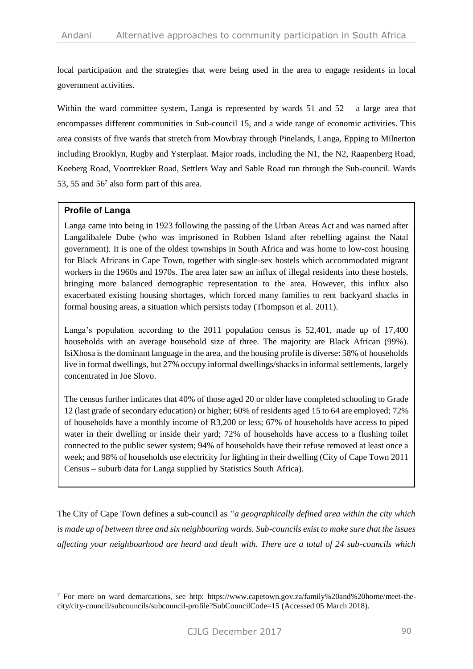local participation and the strategies that were being used in the area to engage residents in local government activities.

Within the ward committee system, Langa is represented by wards  $51$  and  $52 - a$  large area that encompasses different communities in Sub-council 15, and a wide range of economic activities. This area consists of five wards that stretch from Mowbray through Pinelands, Langa, Epping to Milnerton including Brooklyn, Rugby and Ysterplaat. Major roads, including the N1, the N2, Raapenberg Road, Koeberg Road, Voortrekker Road, Settlers Way and Sable Road run through the Sub-council. Wards 53, 55 and 56<sup>7</sup> also form part of this area.

#### **Profile of Langa**

 $\overline{a}$ 

Langa came into being in 1923 following the passing of the Urban Areas Act and was named after Langalibalele Dube (who was imprisoned in Robben Island after rebelling against the Natal government). It is one of the oldest townships in South Africa and was home to low-cost housing for Black Africans in Cape Town, together with single-sex hostels which accommodated migrant workers in the 1960s and 1970s. The area later saw an influx of illegal residents into these hostels, bringing more balanced demographic representation to the area. However, this influx also exacerbated existing housing shortages, which forced many families to rent backyard shacks in formal housing areas, a situation which persists today (Thompson et al. 2011).

Langa's population according to the 2011 population census is 52,401, made up of 17,400 households with an average household size of three. The majority are Black African (99%). IsiXhosa is the dominant language in the area, and the housing profile is diverse: 58% of households live in formal dwellings, but 27% occupy informal dwellings/shacks in informal settlements, largely concentrated in Joe Slovo.

The census further indicates that 40% of those aged 20 or older have completed schooling to Grade 12 (last grade of secondary education) or higher; 60% of residents aged 15 to 64 are employed; 72% of households have a monthly income of R3,200 or less; 67% of households have access to piped water in their dwelling or inside their yard; 72% of households have access to a flushing toilet connected to the public sewer system; 94% of households have their refuse removed at least once a week; and 98% of households use electricity for lighting in their dwelling (City of Cape Town 2011 Census – suburb data for Langa supplied by Statistics South Africa).

The City of Cape Town defines a sub-council as *"a geographically defined area within the city which is made up of between three and six neighbouring wards. Sub-councils exist to make sure that the issues affecting your neighbourhood are heard and dealt with. There are a total of 24 sub-councils which* 

<sup>7</sup> For more on ward demarcations, see http: [https://www.capetown.gov.za/family%20and%20home/meet-the](https://www.capetown.gov.za/family%20and%20home/meet-the-city/city-council/subcouncils/subcouncil-profile?SubCouncilCode=15)[city/city-council/subcouncils/subcouncil-profile?SubCouncilCode=15](https://www.capetown.gov.za/family%20and%20home/meet-the-city/city-council/subcouncils/subcouncil-profile?SubCouncilCode=15) (Accessed 05 March 2018).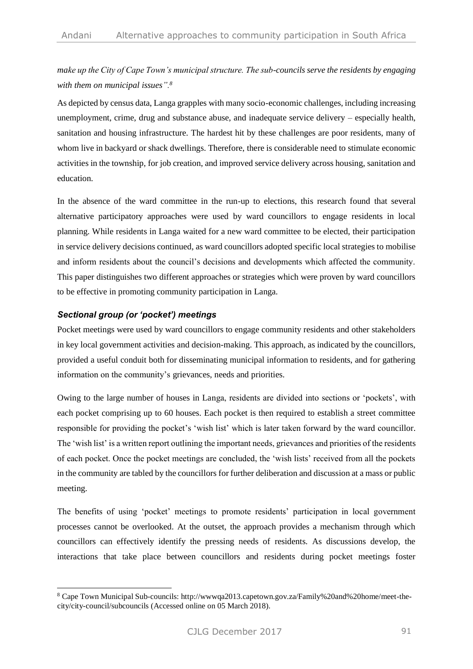### *make up the City of Cape Town's municipal structure. The sub-councils serve the residents by engaging with them on municipal issues".<sup>8</sup>*

As depicted by census data, Langa grapples with many socio-economic challenges, including increasing unemployment, crime, drug and substance abuse, and inadequate service delivery – especially health, sanitation and housing infrastructure. The hardest hit by these challenges are poor residents, many of whom live in backyard or shack dwellings. Therefore, there is considerable need to stimulate economic activities in the township, for job creation, and improved service delivery across housing, sanitation and education.

In the absence of the ward committee in the run-up to elections, this research found that several alternative participatory approaches were used by ward councillors to engage residents in local planning. While residents in Langa waited for a new ward committee to be elected, their participation in service delivery decisions continued, as ward councillors adopted specific local strategies to mobilise and inform residents about the council's decisions and developments which affected the community. This paper distinguishes two different approaches or strategies which were proven by ward councillors to be effective in promoting community participation in Langa.

#### *Sectional group (or 'pocket') meetings*

 $\overline{a}$ 

Pocket meetings were used by ward councillors to engage community residents and other stakeholders in key local government activities and decision-making. This approach, as indicated by the councillors, provided a useful conduit both for disseminating municipal information to residents, and for gathering information on the community's grievances, needs and priorities.

Owing to the large number of houses in Langa, residents are divided into sections or 'pockets', with each pocket comprising up to 60 houses. Each pocket is then required to establish a street committee responsible for providing the pocket's 'wish list' which is later taken forward by the ward councillor. The 'wish list' is a written report outlining the important needs, grievances and priorities of the residents of each pocket. Once the pocket meetings are concluded, the 'wish lists' received from all the pockets in the community are tabled by the councillors for further deliberation and discussion at a mass or public meeting.

The benefits of using 'pocket' meetings to promote residents' participation in local government processes cannot be overlooked. At the outset, the approach provides a mechanism through which councillors can effectively identify the pressing needs of residents. As discussions develop, the interactions that take place between councillors and residents during pocket meetings foster

<sup>8</sup> Cape Town Municipal Sub-councils: [http://wwwqa2013.capetown.gov.za/Family%20and%20home/meet-the](http://wwwqa2013.capetown.gov.za/Family%20and%20home/meet-the-city/city-council/subcouncils)[city/city-council/subcouncils](http://wwwqa2013.capetown.gov.za/Family%20and%20home/meet-the-city/city-council/subcouncils) (Accessed online on 05 March 2018).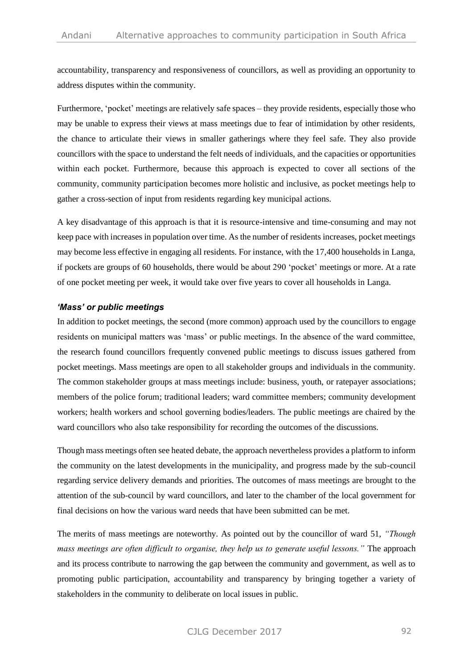accountability, transparency and responsiveness of councillors, as well as providing an opportunity to address disputes within the community.

Furthermore, 'pocket' meetings are relatively safe spaces – they provide residents, especially those who may be unable to express their views at mass meetings due to fear of intimidation by other residents, the chance to articulate their views in smaller gatherings where they feel safe. They also provide councillors with the space to understand the felt needs of individuals, and the capacities or opportunities within each pocket. Furthermore, because this approach is expected to cover all sections of the community, community participation becomes more holistic and inclusive, as pocket meetings help to gather a cross-section of input from residents regarding key municipal actions.

A key disadvantage of this approach is that it is resource-intensive and time-consuming and may not keep pace with increases in population over time. As the number of residents increases, pocket meetings may become less effective in engaging all residents. For instance, with the 17,400 households in Langa, if pockets are groups of 60 households, there would be about 290 'pocket' meetings or more. At a rate of one pocket meeting per week, it would take over five years to cover all households in Langa.

#### *'Mass' or public meetings*

In addition to pocket meetings, the second (more common) approach used by the councillors to engage residents on municipal matters was 'mass' or public meetings. In the absence of the ward committee, the research found councillors frequently convened public meetings to discuss issues gathered from pocket meetings. Mass meetings are open to all stakeholder groups and individuals in the community. The common stakeholder groups at mass meetings include: business, youth, or ratepayer associations; members of the police forum; traditional leaders; ward committee members; community development workers; health workers and school governing bodies/leaders. The public meetings are chaired by the ward councillors who also take responsibility for recording the outcomes of the discussions.

Though mass meetings often see heated debate, the approach nevertheless provides a platform to inform the community on the latest developments in the municipality, and progress made by the sub-council regarding service delivery demands and priorities. The outcomes of mass meetings are brought to the attention of the sub-council by ward councillors, and later to the chamber of the local government for final decisions on how the various ward needs that have been submitted can be met.

The merits of mass meetings are noteworthy. As pointed out by the councillor of ward 51, *"Though mass meetings are often difficult to organise, they help us to generate useful lessons."* The approach and its process contribute to narrowing the gap between the community and government, as well as to promoting public participation, accountability and transparency by bringing together a variety of stakeholders in the community to deliberate on local issues in public.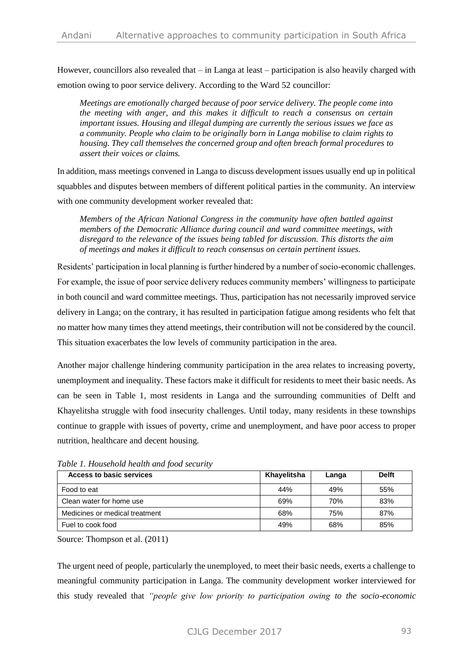However, councillors also revealed that – in Langa at least – participation is also heavily charged with emotion owing to poor service delivery. According to the Ward 52 councillor:

*Meetings are emotionally charged because of poor service delivery. The people come into the meeting with anger, and this makes it difficult to reach a consensus on certain important issues. Housing and illegal dumping are currently the serious issues we face as a community. People who claim to be originally born in Langa mobilise to claim rights to housing. They call themselves the concerned group and often breach formal procedures to assert their voices or claims.*

In addition, mass meetings convened in Langa to discuss development issues usually end up in political squabbles and disputes between members of different political parties in the community. An interview with one community development worker revealed that:

*Members of the African National Congress in the community have often battled against members of the Democratic Alliance during council and ward committee meetings, with disregard to the relevance of the issues being tabled for discussion. This distorts the aim of meetings and makes it difficult to reach consensus on certain pertinent issues.*

Residents' participation in local planning is further hindered by a number of socio-economic challenges. For example, the issue of poor service delivery reduces community members' willingness to participate in both council and ward committee meetings. Thus, participation has not necessarily improved service delivery in Langa; on the contrary, it has resulted in participation fatigue among residents who felt that no matter how many times they attend meetings, their contribution will not be considered by the council. This situation exacerbates the low levels of community participation in the area.

Another major challenge hindering community participation in the area relates to increasing poverty, unemployment and inequality. These factors make it difficult for residents to meet their basic needs. As can be seen in Table 1, most residents in Langa and the surrounding communities of Delft and Khayelitsha struggle with food insecurity challenges. Until today, many residents in these townships continue to grapple with issues of poverty, crime and unemployment, and have poor access to proper nutrition, healthcare and decent housing.

| Access to basic services       | Khayelitsha | Langa | <b>Delft</b> |
|--------------------------------|-------------|-------|--------------|
| Food to eat                    | 44%         | 49%   | 55%          |
| Clean water for home use       | 69%         | 70%   | 83%          |
| Medicines or medical treatment | 68%         | 75%   | 87%          |
| Fuel to cook food              | 49%         | 68%   | 85%          |

*Table 1. Household health and food security* 

Source: Thompson et al. (2011)

The urgent need of people, particularly the unemployed, to meet their basic needs, exerts a challenge to meaningful community participation in Langa. The community development worker interviewed for this study revealed that *"people give low priority to participation owing to the socio-economic*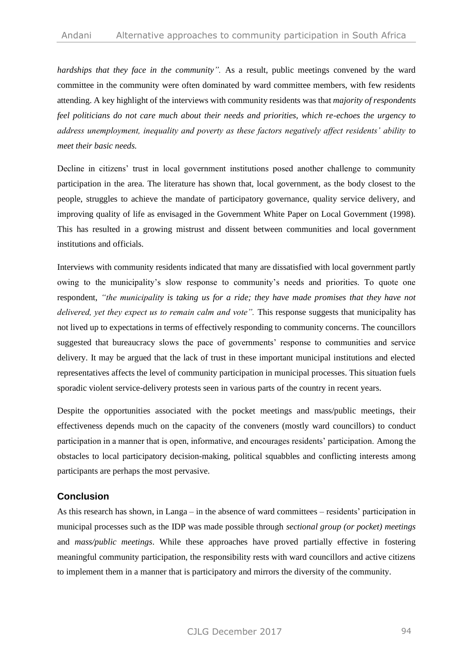*hardships that they face in the community".* As a result, public meetings convened by the ward committee in the community were often dominated by ward committee members, with few residents attending. A key highlight of the interviews with community residents was that *majority of respondents feel politicians do not care much about their needs and priorities, which re-echoes the urgency to address unemployment, inequality and poverty as these factors negatively affect residents' ability to meet their basic needs.*

Decline in citizens' trust in local government institutions posed another challenge to community participation in the area. The literature has shown that, local government, as the body closest to the people, struggles to achieve the mandate of participatory governance, quality service delivery, and improving quality of life as envisaged in the Government White Paper on Local Government (1998). This has resulted in a growing mistrust and dissent between communities and local government institutions and officials.

Interviews with community residents indicated that many are dissatisfied with local government partly owing to the municipality's slow response to community's needs and priorities. To quote one respondent, *"the municipality is taking us for a ride; they have made promises that they have not delivered, yet they expect us to remain calm and vote".* This response suggests that municipality has not lived up to expectations in terms of effectively responding to community concerns. The councillors suggested that bureaucracy slows the pace of governments' response to communities and service delivery. It may be argued that the lack of trust in these important municipal institutions and elected representatives affects the level of community participation in municipal processes. This situation fuels sporadic violent service-delivery protests seen in various parts of the country in recent years.

Despite the opportunities associated with the pocket meetings and mass/public meetings, their effectiveness depends much on the capacity of the conveners (mostly ward councillors) to conduct participation in a manner that is open, informative, and encourages residents' participation. Among the obstacles to local participatory decision-making, political squabbles and conflicting interests among participants are perhaps the most pervasive.

#### **Conclusion**

As this research has shown, in Langa – in the absence of ward committees – residents' participation in municipal processes such as the IDP was made possible through *sectional group (or pocket) meetings*  and *mass/public meetings*. While these approaches have proved partially effective in fostering meaningful community participation, the responsibility rests with ward councillors and active citizens to implement them in a manner that is participatory and mirrors the diversity of the community.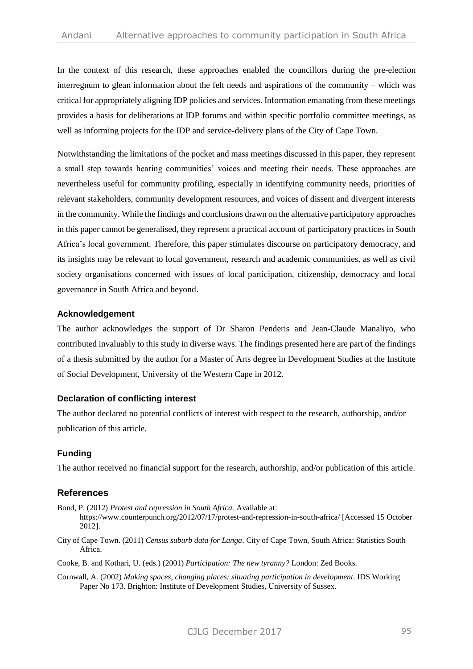In the context of this research, these approaches enabled the councillors during the pre-election interregnum to glean information about the felt needs and aspirations of the community – which was critical for appropriately aligning IDP policies and services. Information emanating from these meetings provides a basis for deliberations at IDP forums and within specific portfolio committee meetings, as well as informing projects for the IDP and service-delivery plans of the City of Cape Town.

Notwithstanding the limitations of the pocket and mass meetings discussed in this paper, they represent a small step towards hearing communities' voices and meeting their needs. These approaches are nevertheless useful for community profiling, especially in identifying community needs, priorities of relevant stakeholders, community development resources, and voices of dissent and divergent interests in the community. While the findings and conclusions drawn on the alternative participatory approaches in this paper cannot be generalised, they represent a practical account of participatory practices in South Africa's local government. Therefore, this paper stimulates discourse on participatory democracy, and its insights may be relevant to local government, research and academic communities, as well as civil society organisations concerned with issues of local participation, citizenship, democracy and local governance in South Africa and beyond.

#### **Acknowledgement**

The author acknowledges the support of Dr Sharon Penderis and Jean-Claude Manaliyo, who contributed invaluably to this study in diverse ways. The findings presented here are part of the findings of a thesis submitted by the author for a Master of Arts degree in Development Studies at the Institute of Social Development, University of the Western Cape in 2012.

#### **Declaration of conflicting interest**

The author declared no potential conflicts of interest with respect to the research, authorship, and/or publication of this article.

#### **Funding**

The author received no financial support for the research, authorship, and/or publication of this article.

#### **References**

Bond, P. (2012) *Protest and repression in South Africa.* Available at:

- <https://www.counterpunch.org/2012/07/17/protest-and-repression-in-south-africa/> [Accessed 15 October 2012].
- City of Cape Town. (2011) *Census suburb data for Langa*. City of Cape Town, South Africa: Statistics South Africa.
- Cooke, B. and Kothari, U. (eds.) (2001) *Participation: The new tyranny?* London: Zed Books.
- Cornwall, A. (2002) *Making spaces, changing places: situating participation in development*. IDS Working Paper No 173. Brighton: Institute of Development Studies, University of Sussex.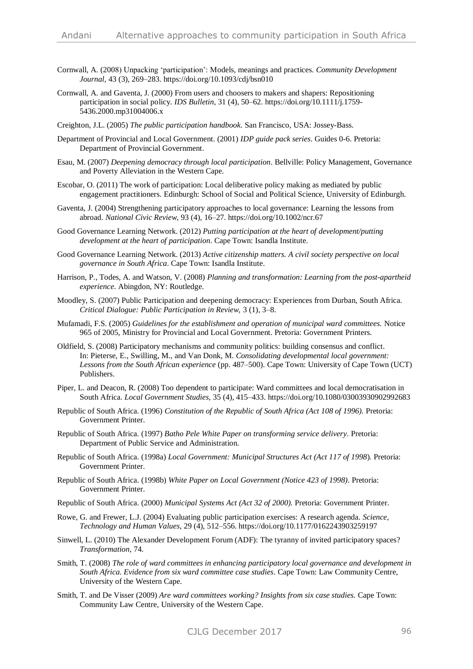- Cornwall, A. (2008) Unpacking 'participation': Models, meanings and practices. *Community Development Journal,* 43 (3), 269–283. <https://doi.org/10.1093/cdj/bsn010>
- Cornwall, A. and Gaventa, J. (2000) From users and choosers to makers and shapers: Repositioning participation in social policy. *IDS Bulletin*, 31 (4), 50–62. [https://doi.org/10.1111/j.1759-](https://doi.org/10.1111/j.1759-5436.2000.mp31004006.x) [5436.2000.mp31004006.x](https://doi.org/10.1111/j.1759-5436.2000.mp31004006.x)
- Creighton, J.L. (2005) *The public participation handbook*. San Francisco, USA: Jossey-Bass.
- Department of Provincial and Local Government. (2001) *IDP guide pack series*. Guides 0-6. Pretoria: Department of Provincial Government.
- Esau, M. (2007) *Deepening democracy through local participation*. Bellville: Policy Management, Governance and Poverty Alleviation in the Western Cape.
- Escobar, O. (2011) The work of participation: Local deliberative policy making as mediated by public engagement practitioners. Edinburgh: School of Social and Political Science, University of Edinburgh.
- Gaventa, J. (2004) Strengthening participatory approaches to local governance: Learning the lessons from abroad. *National Civic Review,* 93 (4), 16–27[. https://doi.org/10.1002/ncr.67](https://doi.org/10.1002/ncr.67)
- Good Governance Learning Network. (2012) *Putting participation at the heart of development/putting development at the heart of participation*. Cape Town: Isandla Institute.
- Good Governance Learning Network. (2013) *Active citizenship matters. A civil society perspective on local governance in South Africa*. Cape Town: Isandla Institute.
- Harrison, P., Todes, A. and Watson, V. (2008) *Planning and transformation: Learning from the post-apartheid experience*. Abingdon, NY: Routledge.
- Moodley, S. (2007) Public Participation and deepening democracy: Experiences from Durban, South Africa. *Critical Dialogue: Public Participation in Review,* 3 (1), 3–8.
- Mufamadi, F.S. (2005) *Guidelines for the establishment and operation of municipal ward committees.* Notice 965 of 2005, Ministry for Provincial and Local Government. Pretoria: Government Printers.
- Oldfield, S. (2008) Participatory mechanisms and community politics: building consensus and conflict. In: Pieterse, E., Swilling, M., and Van Donk, M. *Consolidating developmental local government: Lessons from the South African experience* (pp. 487–500). Cape Town: University of Cape Town (UCT) Publishers.
- Piper, L. and Deacon, R. (2008) Too dependent to participate: Ward committees and local democratisation in South Africa. *Local Government Studies*, 35 (4), 415–433. <https://doi.org/10.1080/03003930902992683>
- Republic of South Africa. (1996) *Constitution of the Republic of South Africa (Act 108 of 1996).* Pretoria: Government Printer.
- Republic of South Africa. (1997) *Batho Pele White Paper on transforming service delivery*. Pretoria: Department of Public Service and Administration.
- Republic of South Africa. (1998a) *Local Government: Municipal Structures Act (Act 117 of 1998*). Pretoria: Government Printer.
- Republic of South Africa. (1998b) *White Paper on Local Government (Notice 423 of 1998)*. Pretoria: Government Printer.
- Republic of South Africa. (2000) *Municipal Systems Act (Act 32 of 2000).* Pretoria: Government Printer.
- Rowe, G. and Frewer, L.J. (2004) Evaluating public participation exercises: A research agenda. *Science, Technology and Human Values*, 29 (4), 512–556.<https://doi.org/10.1177/0162243903259197>
- Sinwell, L. (2010) The Alexander Development Forum (ADF): The tyranny of invited participatory spaces? *Transformation*, 74.
- Smith, T. (2008) *The role of ward committees in enhancing participatory local governance and development in South Africa. Evidence from six ward committee case studies*. Cape Town: Law Community Centre, University of the Western Cape.
- Smith, T. and De Visser (2009) *Are ward committees working? Insights from six case studies.* Cape Town: Community Law Centre, University of the Western Cape.